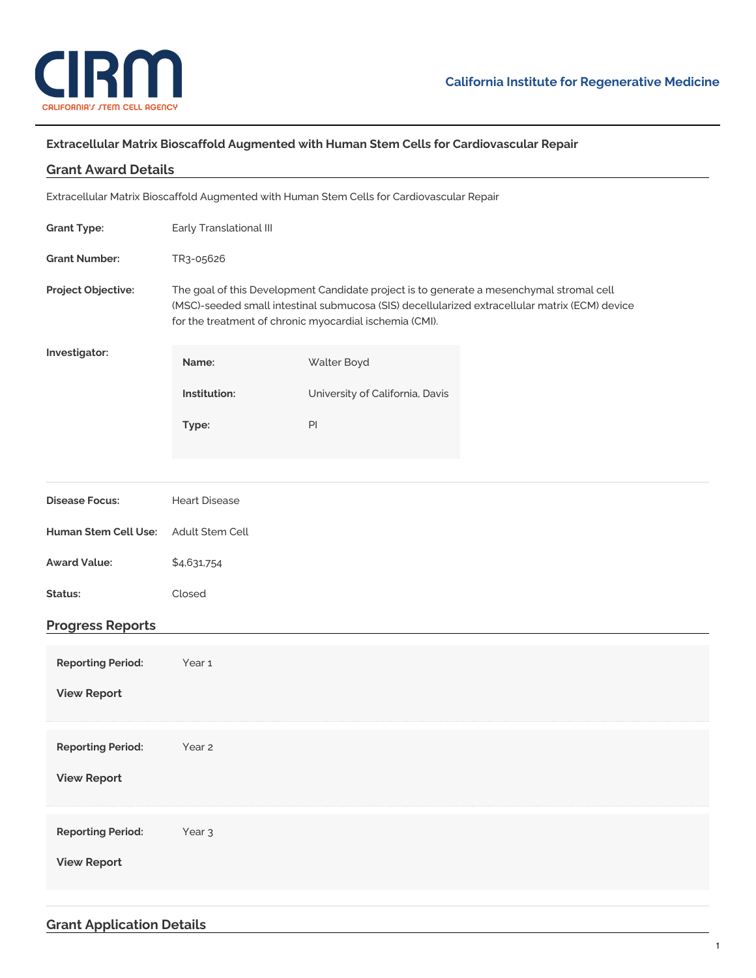

## **Extracellular Matrix Bioscaffold Augmented with Human Stem Cells for Cardiovascular Repair**

| <b>Grant Award Details</b>                                                                 |                                                                                                                                                                                                                                                       |                                 |  |
|--------------------------------------------------------------------------------------------|-------------------------------------------------------------------------------------------------------------------------------------------------------------------------------------------------------------------------------------------------------|---------------------------------|--|
| Extracellular Matrix Bioscaffold Augmented with Human Stem Cells for Cardiovascular Repair |                                                                                                                                                                                                                                                       |                                 |  |
| <b>Grant Type:</b>                                                                         | Early Translational III                                                                                                                                                                                                                               |                                 |  |
| <b>Grant Number:</b>                                                                       | TR3-05626                                                                                                                                                                                                                                             |                                 |  |
| Project Objective:                                                                         | The goal of this Development Candidate project is to generate a mesenchymal stromal cell<br>(MSC)-seeded small intestinal submucosa (SIS) decellularized extracellular matrix (ECM) device<br>for the treatment of chronic myocardial ischemia (CMI). |                                 |  |
| Investigator:                                                                              | Name:                                                                                                                                                                                                                                                 | Walter Boyd                     |  |
|                                                                                            | Institution:                                                                                                                                                                                                                                          | University of California, Davis |  |
|                                                                                            | Type:                                                                                                                                                                                                                                                 | $\mathsf{Pl}$                   |  |
|                                                                                            |                                                                                                                                                                                                                                                       |                                 |  |
| <b>Disease Focus:</b>                                                                      | <b>Heart Disease</b>                                                                                                                                                                                                                                  |                                 |  |
| Human Stem Cell Use:                                                                       | Adult Stem Cell                                                                                                                                                                                                                                       |                                 |  |
| <b>Award Value:</b>                                                                        | \$4,631,754                                                                                                                                                                                                                                           |                                 |  |
| Status:                                                                                    | Closed                                                                                                                                                                                                                                                |                                 |  |
| <b>Progress Reports</b>                                                                    |                                                                                                                                                                                                                                                       |                                 |  |
| <b>Reporting Period:</b>                                                                   | Year <sub>1</sub>                                                                                                                                                                                                                                     |                                 |  |
| <b>View Report</b>                                                                         |                                                                                                                                                                                                                                                       |                                 |  |
| <b>Reporting Period:</b>                                                                   | Year 2                                                                                                                                                                                                                                                |                                 |  |
| <b>View Report</b>                                                                         |                                                                                                                                                                                                                                                       |                                 |  |
|                                                                                            |                                                                                                                                                                                                                                                       |                                 |  |
| <b>Reporting Period:</b>                                                                   | Year <sub>3</sub>                                                                                                                                                                                                                                     |                                 |  |
| <b>View Report</b>                                                                         |                                                                                                                                                                                                                                                       |                                 |  |
|                                                                                            |                                                                                                                                                                                                                                                       |                                 |  |